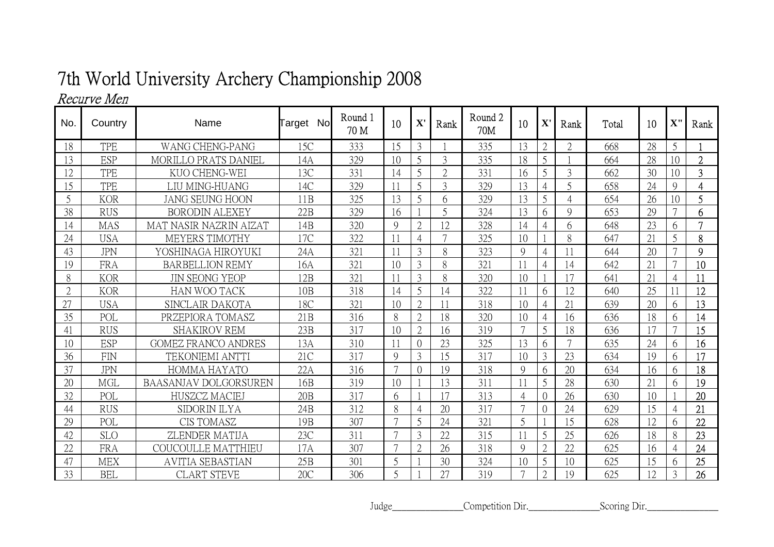## 7th World University Archery Championship 2008 Recurve Men

| No.            | Country    | Name                         | Target No       | Round 1<br>70 M | 10                       | ${\bf X}'$     | Rank           | Round 2<br>70M | 10             | ${\bf X}'$     | Rank           | Total | 10 | ${\bf X}^{\prime\prime}$ | Rank                    |
|----------------|------------|------------------------------|-----------------|-----------------|--------------------------|----------------|----------------|----------------|----------------|----------------|----------------|-------|----|--------------------------|-------------------------|
| 18             | <b>TPE</b> | WANG CHENG-PANG              | 15C             | 333             | 15                       | 3              |                | 335            | 13             | $\overline{2}$ | $\overline{2}$ | 668   | 28 | 5                        |                         |
| 13             | <b>ESP</b> | <b>MORILLO PRATS DANIEL</b>  | 14A             | 329             | 10                       | 5              | 3              | 335            | 18             | 5              |                | 664   | 28 | 10                       | $\overline{2}$          |
| 12             | <b>TPE</b> | KUO CHENG-WEI                | 13C             | 331             | 14                       | 5              | $\overline{2}$ | 331            | 16             | 5              | 3              | 662   | 30 | 10                       | 3                       |
| 15             | <b>TPE</b> | LIU MING-HUANG               | 14C             | 329             | 11                       | 5              | $\overline{3}$ | 329            | 13             | $\overline{4}$ | 5              | 658   | 24 | 9                        | $\overline{\mathbf{4}}$ |
| 5              | <b>KOR</b> | <b>JANG SEUNG HOON</b>       | 11B             | 325             | 13                       | 5              | 6              | 329            | 13             | 5              | $\overline{4}$ | 654   | 26 | 10                       | 5                       |
| 38             | <b>RUS</b> | <b>BORODIN ALEXEY</b>        | 22B             | 329             | 16                       |                | 5              | 324            | 13             | 6              | 9              | 653   | 29 |                          | 6                       |
| 14             | <b>MAS</b> | MAT NASIR NAZRIN AIZAT       | 14B             | 320             | $\mathcal{Q}$            | $\overline{2}$ | 12             | 328            | 14             | $\overline{4}$ | 6              | 648   | 23 | 6                        | $\overline{7}$          |
| 24             | <b>USA</b> | MEYERS TIMOTHY               | 17C             | 322             | 11                       | 4              | $\tau$         | 325            | 10             |                | 8              | 647   | 21 | 5                        | 8                       |
| 43             | <b>JPN</b> | YOSHINAGA HIROYUKI           | 24A             | 321             | 11                       | 3              | 8              | 323            | 9              | $\overline{4}$ | 11             | 644   | 20 | $\tau$                   | 9                       |
| 19             | <b>FRA</b> | <b>BARBELLION REMY</b>       | 16A             | 321             | 10                       | $\overline{3}$ | 8              | 321            | 11             | $\overline{4}$ | 14             | 642   | 21 | $\overline{7}$           | 10                      |
| 8              | <b>KOR</b> | <b>JIN SEONG YEOP</b>        | 12B             | 321             | 11                       | 3              | 8              | 320            | 10             |                | 17             | 641   | 21 | $\overline{4}$           | 11                      |
| $\overline{2}$ | <b>KOR</b> | <b>HAN WOO TACK</b>          | 10B             | 318             | 14                       | 5              | 14             | 322            | 11             | 6              | 12             | 640   | 25 |                          | 12                      |
| 27             | <b>USA</b> | SINCLAIR DAKOTA              | 18C             | 321             | 10                       | $\overline{2}$ |                | 318            | 10             | $\overline{4}$ | 21             | 639   | 20 | 6                        | 13                      |
| 35             | POL        | PRZEPIORA TOMASZ             | 21B             | 316             | 8                        | $\overline{2}$ | 18             | 320            | 10             | $\overline{4}$ | 16             | 636   | 18 | 6                        | 14                      |
| 41             | <b>RUS</b> | <b>SHAKIROV REM</b>          | 23B             | 317             | 10                       | $\overline{2}$ | 16             | 319            | $\tau$         | 5              | 18             | 636   | 17 |                          | 15                      |
| 10             | <b>ESP</b> | <b>GOMEZ FRANCO ANDRES</b>   | 13A             | 310             | 11                       | $\overline{0}$ | 23             | 325            | 13             | 6              | 7              | 635   | 24 | 6                        | 16                      |
| 36             | <b>FIN</b> | TEKONIEMI ANTTI              | 21C             | 317             | 9                        | 3              | 15             | 317            | 10             | 3              | 23             | 634   | 19 | 6                        | 17                      |
| 37             | <b>JPN</b> | HOMMA HAYATO                 | 22A             | 316             | $\overline{7}$           | $\overline{0}$ | 19             | 318            | 9              | 6              | 20             | 634   | 16 | 6                        | 18                      |
| 20             | <b>MGL</b> | <b>BAASANJAV DOLGORSUREN</b> | 16 <sub>B</sub> | 319             | 10                       |                | 13             | 311            | 11             | 5              | 28             | 630   | 21 | 6                        | 19                      |
| 32             | POL        | <b>HUSZCZ MACIEJ</b>         | 20B             | 317             | 6                        |                | 17             | 313            | 4              | $\overline{0}$ | 26             | 630   | 10 |                          | 20                      |
| 44             | <b>RUS</b> | <b>SIDORIN ILYA</b>          | 24B             | 312             | 8                        | $\overline{4}$ | 20             | 317            | $\overline{7}$ | $\overline{0}$ | 24             | 629   | 15 | $\overline{4}$           | 21                      |
| 29             | POL        | <b>CIS TOMASZ</b>            | 19 <sub>B</sub> | 307             |                          | 5              | 24             | 321            | 5              |                | 15             | 628   | 12 | 6                        | 22                      |
| 42             | <b>SLO</b> | <b>ZLENDER MATIJA</b>        | 23C             | 311             | 7                        | $\overline{3}$ | 22             | 315            | 11             | 5              | 25             | 626   | 18 | 8                        | 23                      |
| 22             | <b>FRA</b> | COUCOULLE MATTHIEU           | 17A             | 307             | $\overline{7}$           | $\overline{2}$ | 26             | 318            | 9              | $\overline{2}$ | 22             | 625   | 16 | $\overline{4}$           | 24                      |
| 47             | <b>MEX</b> | <b>AVITIA SEBASTIAN</b>      | 25B             | 301             | 5                        |                | 30             | 324            | 10             | 5              | 10             | 625   | 15 | 6                        | 25                      |
| 33             | <b>BEL</b> | <b>CLART STEVE</b>           | 20C             | 306             | $\overline{\phantom{0}}$ |                | 27             | 319            | $\overline{7}$ | $\gamma$       | 19             | 625   | 12 | $\mathcal{L}$            | 26                      |

Judge\_\_\_\_\_\_\_\_\_\_\_\_\_\_\_Competition Dir.\_\_\_\_\_\_\_\_\_\_\_\_\_\_\_Scoring Dir.\_\_\_\_\_\_\_\_\_\_\_\_\_\_\_